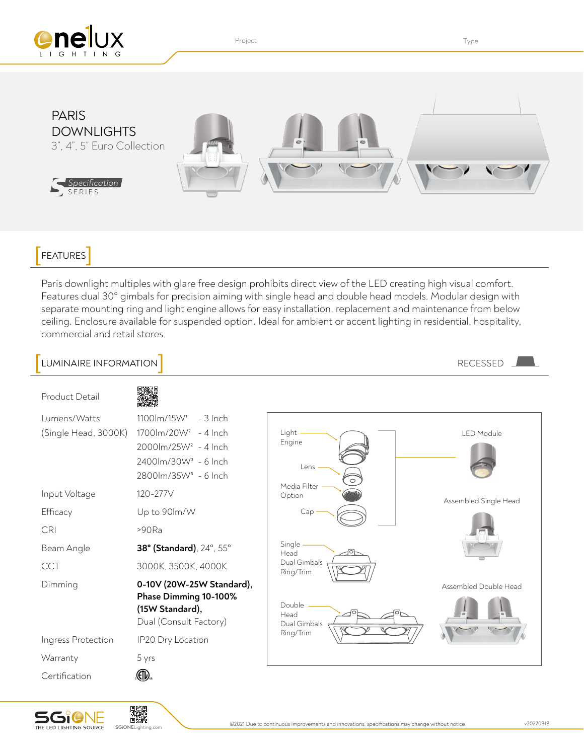

Project **Type Internal Contract Contract Contract Contract Contract Contract Contract Contract Contract Contract Contract Contract Contract Contract Contract Contract Contract Contract Contract Contract Contract Contract C** 



## FEATURES

Paris downlight multiples with glare free design prohibits direct view of the LED creating high visual comfort. Features dual 30° gimbals for precision aiming with single head and double head models. Modular design with separate mounting ring and light engine allows for easy installation, replacement and maintenance from below ceiling. Enclosure available for suspended option. Ideal for ambient or accent lighting in residential, hospitality, commercial and retail stores.